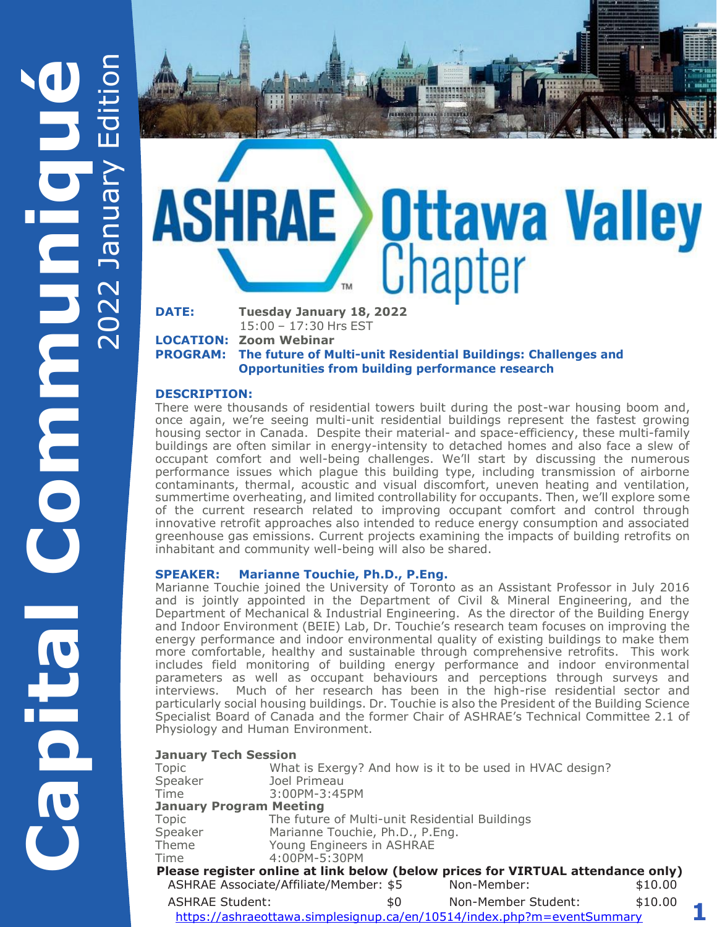# **Ottawa Valley**<br>Chapter **DATE: Tuesday January 18, 2022**

3343414558

15:00 – 17:30 Hrs EST

**LOCATION: Zoom Webinar**

**PROGRAM: The future of Multi-unit Residential Buildings: Challenges and Opportunities from building performance research**

#### **DESCRIPTION:**

There were thousands of residential towers built during the post-war housing boom and, once again, we're seeing multi-unit residential buildings represent the fastest growing housing sector in Canada. Despite their material- and space-efficiency, these multi-family buildings are often similar in energy-intensity to detached homes and also face a slew of occupant comfort and well-being challenges. We'll start by discussing the numerous performance issues which plague this building type, including transmission of airborne contaminants, thermal, acoustic and visual discomfort, uneven heating and ventilation, summertime overheating, and limited controllability for occupants. Then, we'll explore some of the current research related to improving occupant comfort and control through innovative retrofit approaches also intended to reduce energy consumption and associated greenhouse gas emissions. Current projects examining the impacts of building retrofits on inhabitant and community well-being will also be shared.

#### **SPEAKER: Marianne Touchie, Ph.D., P.Eng.**

Marianne Touchie joined the University of Toronto as an Assistant Professor in July 2016 and is jointly appointed in the Department of Civil & Mineral Engineering, and the Department of Mechanical & Industrial Engineering. As the director of the Building Energy and Indoor Environment (BEIE) Lab, Dr. Touchie's research team focuses on improving the energy performance and indoor environmental quality of existing buildings to make them more comfortable, healthy and sustainable through comprehensive retrofits. This work includes field monitoring of building energy performance and indoor environmental parameters as well as occupant behaviours and perceptions through surveys and interviews. Much of her research has been in the high-rise residential sector and particularly social housing buildings. Dr. Touchie is also the President of the Building Science Specialist Board of Canada and the former Chair of ASHRAE's Technical Committee 2.1 of Physiology and Human Environment.

#### **January Tech Session**

| JAIIUAI YI I CUII JESSIUII     |                                                          |     |                                                                                 |         |  |
|--------------------------------|----------------------------------------------------------|-----|---------------------------------------------------------------------------------|---------|--|
| Topic                          | What is Exergy? And how is it to be used in HVAC design? |     |                                                                                 |         |  |
| Speaker                        | Joel Primeau                                             |     |                                                                                 |         |  |
| Time                           | 3:00PM-3:45PM                                            |     |                                                                                 |         |  |
| <b>January Program Meeting</b> |                                                          |     |                                                                                 |         |  |
| Topic                          | The future of Multi-unit Residential Buildings           |     |                                                                                 |         |  |
| Speaker                        | Marianne Touchie, Ph.D., P.Eng.                          |     |                                                                                 |         |  |
| Theme                          | Young Engineers in ASHRAE                                |     |                                                                                 |         |  |
| Time                           | 4:00PM-5:30PM                                            |     |                                                                                 |         |  |
|                                |                                                          |     | Please register online at link below (below prices for VIRTUAL attendance only) |         |  |
|                                | ASHRAE Associate/Affiliate/Member: \$5                   |     | Non-Member:                                                                     | \$10.00 |  |
| <b>ASHRAE Student:</b>         |                                                          | \$0 | Non-Member Student:                                                             | \$10.00 |  |
|                                |                                                          |     | https://ashraeottawa.simplesignup.ca/en/10514/index.php?m=eventSummary          |         |  |

**1**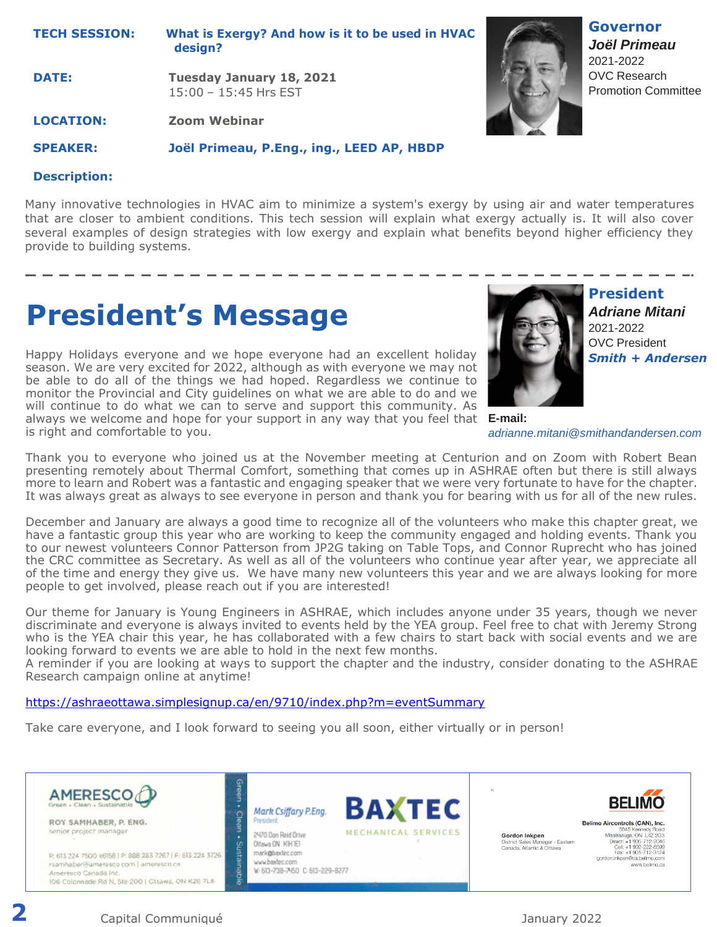**TECH SESSION: What is Exergy? And how is it to be used in HVAC design?**

**DATE: Tuesday January 18, 2021**  15:00 – 15:45 Hrs EST

**LOCATION: Zoom Webinar**

**SPEAKER: Joël Primeau, P.Eng., ing., LEED AP, HBDP**

#### **Description:**

Many innovative technologies in HVAC aim to minimize a system's exergy by using air and water temperatures that are closer to ambient conditions. This tech session will explain what exergy actually is. It will also cover several examples of design strategies with low exergy and explain what benefits beyond higher efficiency they provide to building systems.

### **President's Message**

Happy Holidays everyone and we hope everyone had an excellent holiday season. We are very excited for 2022, although as with everyone we may not be able to do all of the things we had hoped. Regardless we continue to monitor the Provincial and City guidelines on what we are able to do and we will continue to do what we can to serve and support this community. As always we welcome and hope for your support in any way that you feel that is right and comfortable to you.



**President** *Adriane Mitani* 2021-2022 OVC President *Smith + Andersen*

**Governor** *Joël Primeau*  2021-2022 OVC Research Promotion Committee

**E-mail:** *adrianne.mitani@smithandandersen.com*

Thank you to everyone who joined us at the November meeting at Centurion and on Zoom with Robert Bean presenting remotely about Thermal Comfort, something that comes up in ASHRAE often but there is still always more to learn and Robert was a fantastic and engaging speaker that we were very fortunate to have for the chapter. It was always great as always to see everyone in person and thank you for bearing with us for all of the new rules.

December and January are always a good time to recognize all of the volunteers who make this chapter great, we have a fantastic group this year who are working to keep the community engaged and holding events. Thank you to our newest volunteers Connor Patterson from JP2G taking on Table Tops, and Connor Ruprecht who has joined the CRC committee as Secretary. As well as all of the volunteers who continue year after year, we appreciate all of the time and energy they give us. We have many new volunteers this year and we are always looking for more people to get involved, please reach out if you are interested!

Our theme for January is Young Engineers in ASHRAE, which includes anyone under 35 years, though we never discriminate and everyone is always invited to events held by the YEA group. Feel free to chat with Jeremy Strong who is the YEA chair this year, he has collaborated with a few chairs to start back with social events and we are looking forward to events we are able to hold in the next few months.

A reminder if you are looking at ways to support the chapter and the industry, consider donating to the ASHRAE Research campaign online at anytime!

<https://ashraeottawa.simplesignup.ca/en/9710/index.php?m=eventSummary>

Take care everyone, and I look forward to seeing you all soon, either virtually or in person!

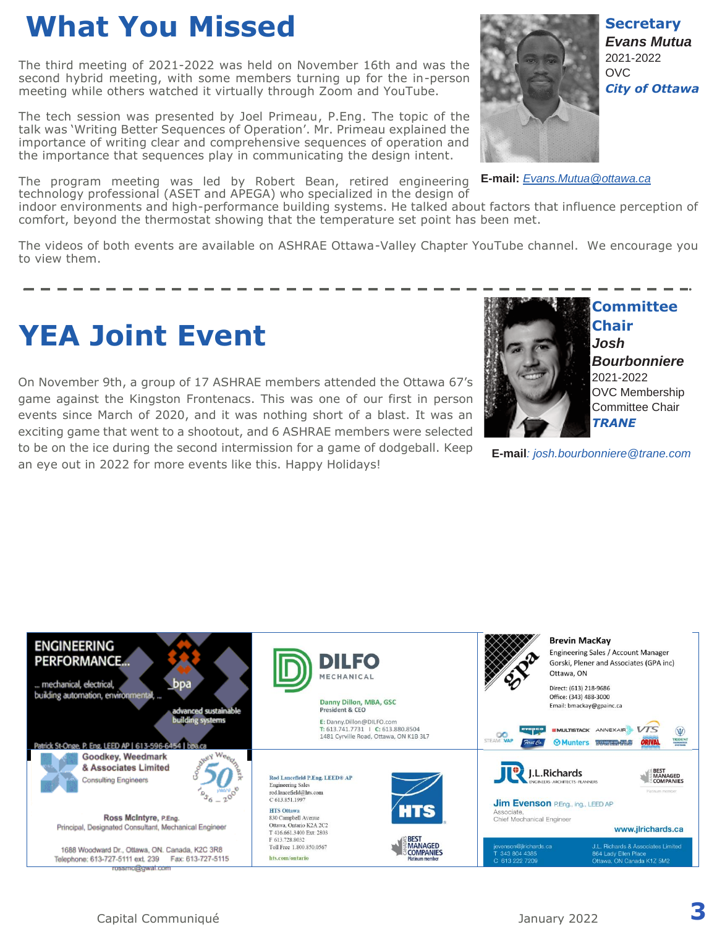### **What You Missed**

The third meeting of 2021-2022 was held on November 16th and was the second hybrid meeting, with some members turning up for the in-person meeting while others watched it virtually through Zoom and YouTube.

The tech session was presented by Joel Primeau, P.Eng. The topic of the talk was 'Writing Better Sequences of Operation'. Mr. Primeau explained the importance of writing clear and comprehensive sequences of operation and the importance that sequences play in communicating the design intent.

The program meeting was led by Robert Bean, retired engineering technology professional (ASET and APEGA) who specialized in the design of

indoor environments and high-performance building systems. He talked about factors that influence perception of comfort, beyond the thermostat showing that the temperature set point has been met.

The videos of both events are available on ASHRAE Ottawa-Valley Chapter YouTube channel. We encourage you to view them.

### **YEA Joint Event**

On November 9th, a group of 17 ASHRAE members attended the Ottawa 67's game against the Kingston Frontenacs. This was one of our first in person events since March of 2020, and it was nothing short of a blast. It was an exciting game that went to a shootout, and 6 ASHRAE members were selected to be on the ice during the second intermission for a game of dodgeball. Keep an eye out in 2022 for more events like this. Happy Holidays!



**Committee Chair** *Josh Bourbonniere* 2021-2022 OVC Membership Committee Chair *TRANE*

**E-mail***: josh.bourbonniere@trane.com*





**E-mail:** *[Evans.Mutua@ottawa.ca](mailto:Evans.Mutua@ottawa.ca)*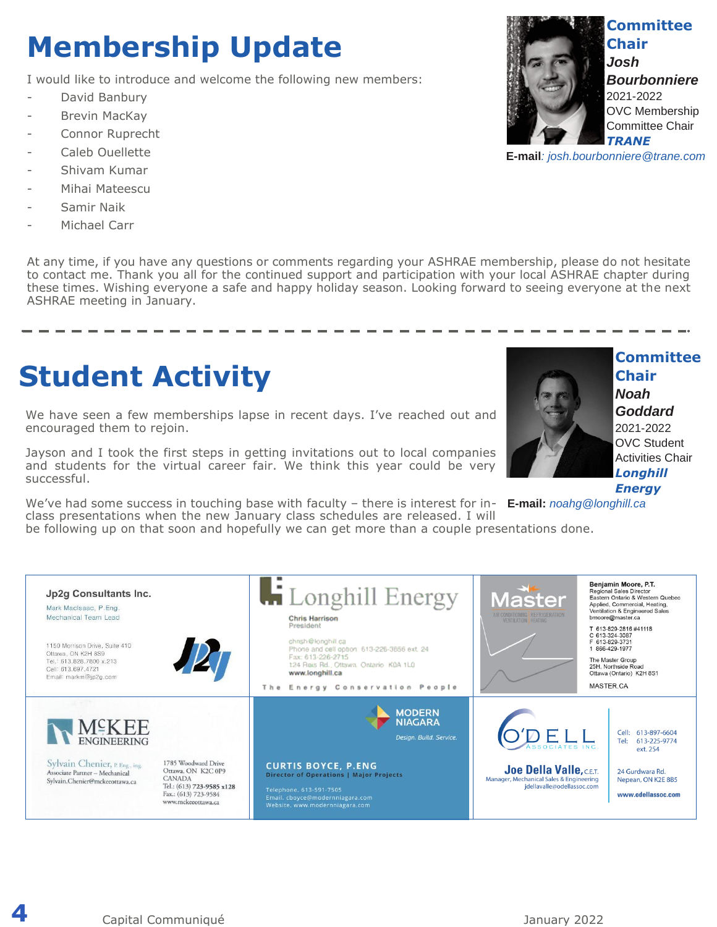## **Membership Update**

I would like to introduce and welcome the following new members:

- David Banbury
- Brevin MacKay
- Connor Ruprecht
- Caleb Quellette
- Shivam Kumar
- Mihai Mateescu
- Samir Naik
- Michael Carr

At any time, if you have any questions or comments regarding your ASHRAE membership, please do not hesitate to contact me. Thank you all for the continued support and participation with your local ASHRAE chapter during these times. Wishing everyone a safe and happy holiday season. Looking forward to seeing everyone at the next ASHRAE meeting in January.

### **Student Activity**

We have seen a few memberships lapse in recent days. I've reached out and encouraged them to rejoin.

Jayson and I took the first steps in getting invitations out to local companies and students for the virtual career fair. We think this year could be very successful.

We've had some success in touching base with faculty – there is interest for in-**E-mail:** *noahg@longhill.ca*class presentations when the new January class schedules are released. I will

be following up on that soon and hopefully we can get more than a couple presentations done.





**Committee** 

**E-mail***: josh.bourbonniere@trane.com*



**Committee Chair** *Noah Goddard*

2021-2022 OVC Student Activities Chair *Longhill* 

*Energy*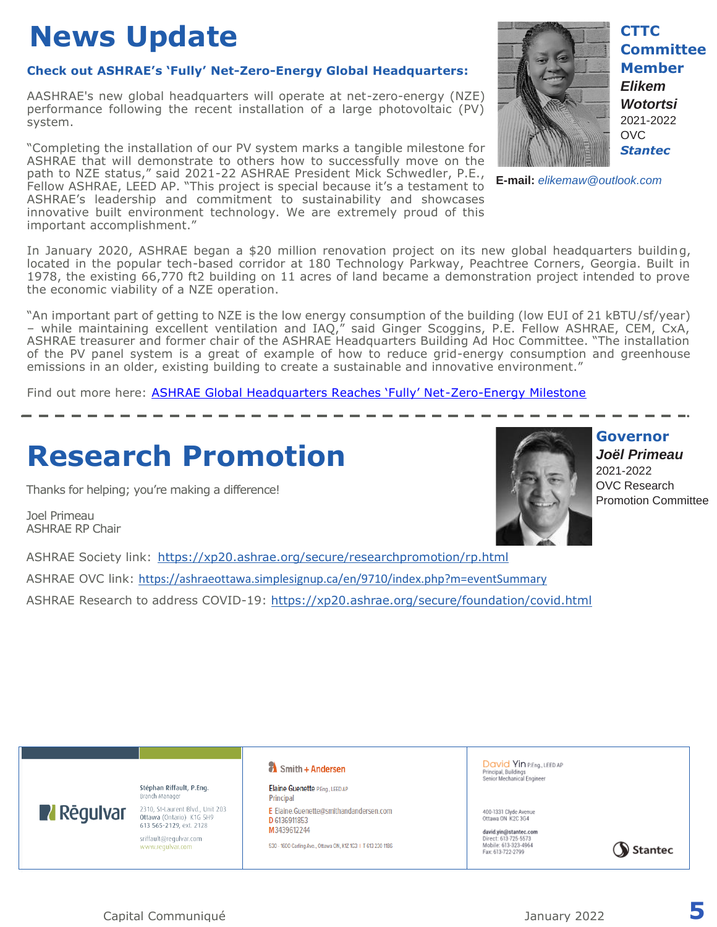## **News Update**

#### **Check out ASHRAE's 'Fully' Net-Zero-Energy Global Headquarters:**

AASHRAE's new global headquarters will operate at net-zero-energy (NZE) performance following the recent installation of a large photovoltaic (PV) system.

"Completing the installation of our PV system marks a tangible milestone for ASHRAE that will demonstrate to others how to successfully move on the path to NZE status," said 2021-22 ASHRAE President Mick Schwedler, P.E., Fellow ASHRAE, LEED AP. "This project is special because it's a testament to ASHRAE's leadership and commitment to sustainability and showcases innovative built environment technology. We are extremely proud of this important accomplishment."



**CTTC Committee Member** *Elikem* 

*Wotortsi* 2021-2022 OVC *Stantec*

**E-mail:** *elikemaw@outlook.com*

In January 2020, ASHRAE began a \$20 million renovation project on its new global headquarters building, located in the popular tech-based corridor at 180 Technology Parkway, Peachtree Corners, Georgia. Built in 1978, the existing 66,770 ft2 building on 11 acres of land became a demonstration project intended to prove the economic viability of a NZE operation.

"An important part of getting to NZE is the low energy consumption of the building (low EUI of 21 kBTU/sf/year) – while maintaining excellent ventilation and IAQ," said Ginger Scoggins, P.E. Fellow ASHRAE, CEM, CxA, ASHRAE treasurer and former chair of the ASHRAE Headquarters Building Ad Hoc Committee. "The installation of the PV panel system is a great of example of how to reduce grid-energy consumption and greenhouse emissions in an older, existing building to create a sustainable and innovative environment."

Find out more here: **[ASHRAE Global Headquarters Reaches 'Fully' Net](https://www.ashrae.org/about/news/2021/ashrae-global-headquarters-reaches-fully-net-zero-energy-milestone)-Zero-Energy Milestone** 

### **Research Promotion**

Thanks for helping; you're making a difference!

Joel Primeau ASHRAE RP Chair

**N** Rēgulvar



**Governor** *Joël Primeau*  2021-2022 OVC Research Promotion Committee

ASHRAE Society link: <https://xp20.ashrae.org/secure/researchpromotion/rp.html> ASHRAE OVC link: <https://ashraeottawa.simplesignup.ca/en/9710/index.php?m=eventSummary> ASHRAE Research to address COVID-19:<https://xp20.ashrae.org/secure/foundation/covid.html>

> Stéphan Riffault, P.Eng. Branch Manager

2310, St-Laurent Blvd., Unit 203 Ottawa (Ontario) K1G 5H9 613 565-2129, ext. 2128 sriffault@regulvar.com www.regulvar.com

#### Smith + Andersen

Elaine Guenette P.Eng., LEED AP Principal E Elaine.Guenette@smithandandersen.com D 6136911853 M3439612244

530 - 1600 Carling Ave., Ottawa ON, K1Z 1G3 | T 613 230 1186

David Yin P.Eng., LEED AP Principal, Buildings<br>Senior Mechanical Engineer

400-1331 Clyde Avenue<br>Ottawa ON K2C 3G4

david.yin@stantec.com Direct: 613-725-5573<br>Mobile: 613-323-4964 Fax: 613-722-2799

Stantec

Capital Communiqué January 2022 **5**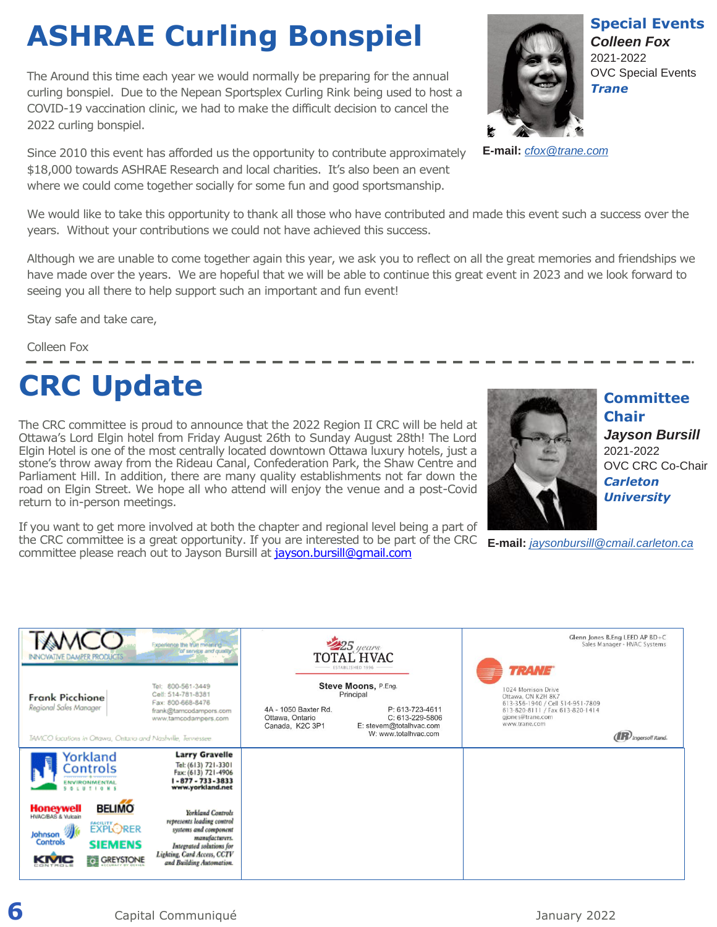# **ASHRAE Curling Bonspiel**

The Around this time each year we would normally be preparing for the annual curling bonspiel. Due to the Nepean Sportsplex Curling Rink being used to host a COVID-19 vaccination clinic, we had to make the difficult decision to cancel the 2022 curling bonspiel.

Since 2010 this event has afforded us the opportunity to contribute approximately \$18,000 towards ASHRAE Research and local charities. It's also been an event where we could come together socially for some fun and good sportsmanship.

We would like to take this opportunity to thank all those who have contributed and made this event such a success over the years. Without your contributions we could not have achieved this success.

Although we are unable to come together again this year, we ask you to reflect on all the great memories and friendships we have made over the years. We are hopeful that we will be able to continue this great event in 2023 and we look forward to seeing you all there to help support such an important and fun event!

Stay safe and take care,

Colleen Fox

# **CRC Update**

The CRC committee is proud to announce that the 2022 Region II CRC will be held at Ottawa's Lord Elgin hotel from Friday August 26th to Sunday August 28th! The Lord Elgin Hotel is one of the most centrally located downtown Ottawa luxury hotels, just a stone's throw away from the Rideau Canal, Confederation Park, the Shaw Centre and Parliament Hill. In addition, there are many quality establishments not far down the road on Elgin Street. We hope all who attend will enjoy the venue and a post-Covid return to in-person meetings.

If you want to get more involved at both the chapter and regional level being a part of the CRC committee is a great opportunity. If you are interested to be part of the CRC committee please reach out to Jayson Bursill a[t jayson.bursill@gmail.com](mailto:jayson.bursill@gmail.com)



**Committee Chair** *Jayson Bursill* 2021-2022 OVC CRC Co-Chair *Carleton University*

**E-mail:** *[jaysonbursill@cmail.carleton.ca](mailto:jaysonbursill@cmail.carleton.ca)*

| <b>INNOVATIVE DAMPER PRODUCTS</b><br>Frank Picchione<br>Regional Sales Manager<br>TAMCO locations in Ottawa, Ontario and Nashville, Tennessee.                                                             | imerience the true meaning.<br>for service and quality<br>Tel: 800-561-3449<br>Cell: 514-781-8381<br>Fax: 800-668-8476<br>frank@tamcodampors.com<br>www.tamcodampers.com                                                                                                                               | $25$ years<br>TOTAL HVAC<br>ESTABLISHED 1996<br>Steve Moons, P.Eng.<br>Principal<br>4A - 1050 Baxter Rd.<br>P: 613-723-4611<br>Ottawa, Ontario<br>C: 613-229-5806<br>E: stevem@totalhvac.com<br>Canada, K2C 3P1<br>W: www.totalhvac.com | Glenn Jones B.Eng LEED AP BD+C<br>Sales Manager - HVAC Systems<br><b>TRANE</b><br>1024 Morrison Drive<br>Ottawa, ON K2H 8K7<br>613-356-1940 / Cell 514-951-7809<br>613-820-8111 / Fax 613-820-1414<br>gjones@trane.com<br>www.trane.com<br>( <b>R</b> ) Ingersoll Rand. |
|------------------------------------------------------------------------------------------------------------------------------------------------------------------------------------------------------------|--------------------------------------------------------------------------------------------------------------------------------------------------------------------------------------------------------------------------------------------------------------------------------------------------------|-----------------------------------------------------------------------------------------------------------------------------------------------------------------------------------------------------------------------------------------|-------------------------------------------------------------------------------------------------------------------------------------------------------------------------------------------------------------------------------------------------------------------------|
| Yorkland<br>ontrols<br><b>BELIMO</b><br><b>Honeywell</b><br><b>HWAC/BAS &amp; Vulcain</b><br><b><i><u>EXPLORER</u></i></b><br>Johnson 20<br>Controls<br><b>SIEMENS</b><br><b>G</b> GREYSTONE<br><b>KMC</b> | <b>Larry Gravelle</b><br>Tel: (613) 721-3301<br>Fax: (613) 721-4906<br>$1 - 877 - 733 - 3833$<br>www.yorkland.net<br>Yorkland Controls<br>represents leading control<br>systems and component<br>manufacturers.<br>Integrated solutions for<br>Lighting, Card Access, CCTV<br>and Building Automation. |                                                                                                                                                                                                                                         |                                                                                                                                                                                                                                                                         |



**Special Events** *Colleen Fox* 2021-2022 OVC Special Events *Trane* 

**E-mail:** *cfox@trane.com*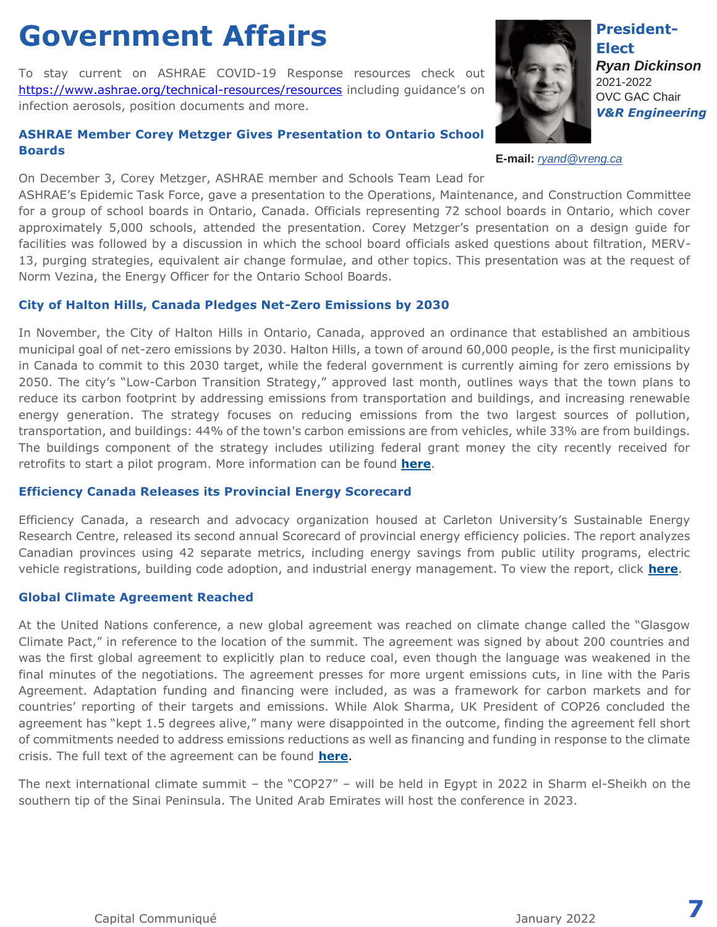### **Government Affairs**

To stay current on ASHRAE COVID-19 Response resources check out <https://www.ashrae.org/technical-resources/resources> including guidance's on infection aerosols, position documents and more.

#### **ASHRAE Member Corey Metzger Gives Presentation to Ontario School Boards**

On December 3, Corey Metzger, ASHRAE member and Schools Team Lead for

ASHRAE's Epidemic Task Force, gave a presentation to the Operations, Maintenance, and Construction Committee for a group of school boards in Ontario, Canada. Officials representing 72 school boards in Ontario, which cover approximately 5,000 schools, attended the presentation. Corey Metzger's presentation on a design guide for facilities was followed by a discussion in which the school board officials asked questions about filtration, MERV-13, purging strategies, equivalent air change formulae, and other topics. This presentation was at the request of Norm Vezina, the Energy Officer for the Ontario School Boards.

#### **City of Halton Hills, Canada Pledges Net-Zero Emissions by 2030**

In November, the City of Halton Hills in Ontario, Canada, approved an ordinance that established an ambitious municipal goal of net-zero emissions by 2030. Halton Hills, a town of around 60,000 people, is the first municipality in Canada to commit to this 2030 target, while the federal government is currently aiming for zero emissions by 2050. The city's "Low-Carbon Transition Strategy," approved last month, outlines ways that the town plans to reduce its carbon footprint by addressing emissions from transportation and buildings, and increasing renewable energy generation. The strategy focuses on reducing emissions from the two largest sources of pollution, transportation, and buildings: 44% of the town's carbon emissions are from vehicles, while 33% are from buildings. The buildings component of the strategy includes utilizing federal grant money the city recently received for retrofits to start a pilot program. More information can be found **[here](http://www.mmsend21.com/link.cfm?r=gFv-noe244TujwwtKtNDpg~~&pe=mp5wn6atsPKue3TkeCPDBfLvwIXQ059pfaU4YL6FGrqM1L1SjPrsxj3RtKI0V9CmtCKh_WMDrn3-VseuHnXdlA~~&t=INSERT_TRACKING_ENCID)**.

#### **Efficiency Canada Releases its Provincial Energy Scorecard**

Efficiency Canada, a research and advocacy organization housed at Carleton University's Sustainable Energy Research Centre, released its second annual Scorecard of provincial energy efficiency policies. The report analyzes Canadian provinces using 42 separate metrics, including energy savings from public utility programs, electric vehicle registrations, building code adoption, and industrial energy management. To view the report, click **[here](http://www.mmsend21.com/link.cfm?r=gFv-noe244TujwwtKtNDpg~~&pe=LqlldBEXXBgRH4L01jSXM9qw3wqAyIlHcYR4QF3ORpRtEZGE-Ber1CRf2j3qqEq1ziMmZEYhBP0r4HKD0ngMag~~&t=INSERT_TRACKING_ENCID)**.

#### **Global Climate Agreement Reached**

At the United Nations conference, a new global agreement was reached on climate change called the "Glasgow Climate Pact," in reference to the location of the summit. The agreement was signed by about 200 countries and was the first global agreement to explicitly plan to reduce coal, even though the language was weakened in the final minutes of the negotiations. The agreement presses for more urgent emissions cuts, in line with the Paris Agreement. Adaptation funding and financing were included, as was a framework for carbon markets and for countries' reporting of their targets and emissions. While Alok Sharma, UK President of COP26 concluded the agreement has "kept 1.5 degrees alive," many were disappointed in the outcome, finding the agreement fell short of commitments needed to address emissions reductions as well as financing and funding in response to the climate crisis. The full text of the agreement can be found **[here](http://www.mmsend21.com/link.cfm?r=gFv-noe244TujwwtKtNDpg~~&pe=9ZGrZ_Dulc0F0n3JAy7q3rUX6-9uMjsLmwqRnV_WQDq9dLg8p8SREoSqzH5nbDbbsZdey_LH0oXUTAjwbvFThg~~&t=INSERT_TRACKING_ENCID)**.

The next international climate summit – the "COP27" – will be held in Egypt in 2022 in Sharm el-Sheikh on the southern tip of the Sinai Peninsula. The United Arab Emirates will host the conference in 2023.

**President-Elect** *Ryan Dickinson* 2021-2022 OVC GAC Chair *V&R Engineering*

**E-mail:** *[ryand@vreng.ca](mailto:ryand@vreng.ca)*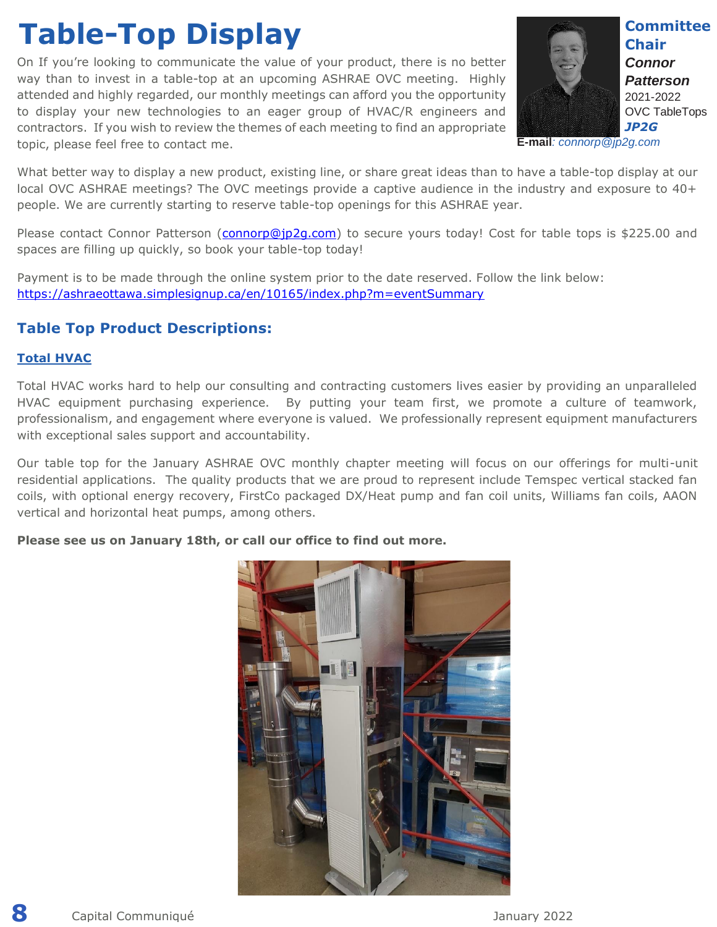### **Table-Top Display**

On If you're looking to communicate the value of your product, there is no better way than to invest in a table-top at an upcoming ASHRAE OVC meeting. Highly attended and highly regarded, our monthly meetings can afford you the opportunity to display your new technologies to an eager group of HVAC/R engineers and contractors. If you wish to review the themes of each meeting to find an appropriate topic, please feel free to contact me.



**Committee Chair** *Connor Patterson* 2021-2022 OVC TableTops *JP2G* 

**E-mail***: connorp@jp2g.com*

What better way to display a new product, existing line, or share great ideas than to have a table-top display at our local OVC ASHRAE meetings? The OVC meetings provide a captive audience in the industry and exposure to 40+ people. We are currently starting to reserve table-top openings for this ASHRAE year.

Please contact Connor Patterson [\(connorp@jp2g.com\)](mailto:connorp@jp2g.com) to secure yours today! Cost for table tops is \$225.00 and spaces are filling up quickly, so book your table-top today!

Payment is to be made through the online system prior to the date reserved. Follow the link below: <https://ashraeottawa.simplesignup.ca/en/10165/index.php?m=eventSummary>

#### **Table Top Product Descriptions:**

#### **Total HVAC**

Total HVAC works hard to help our consulting and contracting customers lives easier by providing an unparalleled HVAC equipment purchasing experience. By putting your team first, we promote a culture of teamwork, professionalism, and engagement where everyone is valued. We professionally represent equipment manufacturers with exceptional sales support and accountability.

Our table top for the January ASHRAE OVC monthly chapter meeting will focus on our offerings for multi-unit residential applications. The quality products that we are proud to represent include Temspec vertical stacked fan coils, with optional energy recovery, FirstCo packaged DX/Heat pump and fan coil units, Williams fan coils, AAON vertical and horizontal heat pumps, among others.

#### **Please see us on January 18th, or call our office to find out more.**

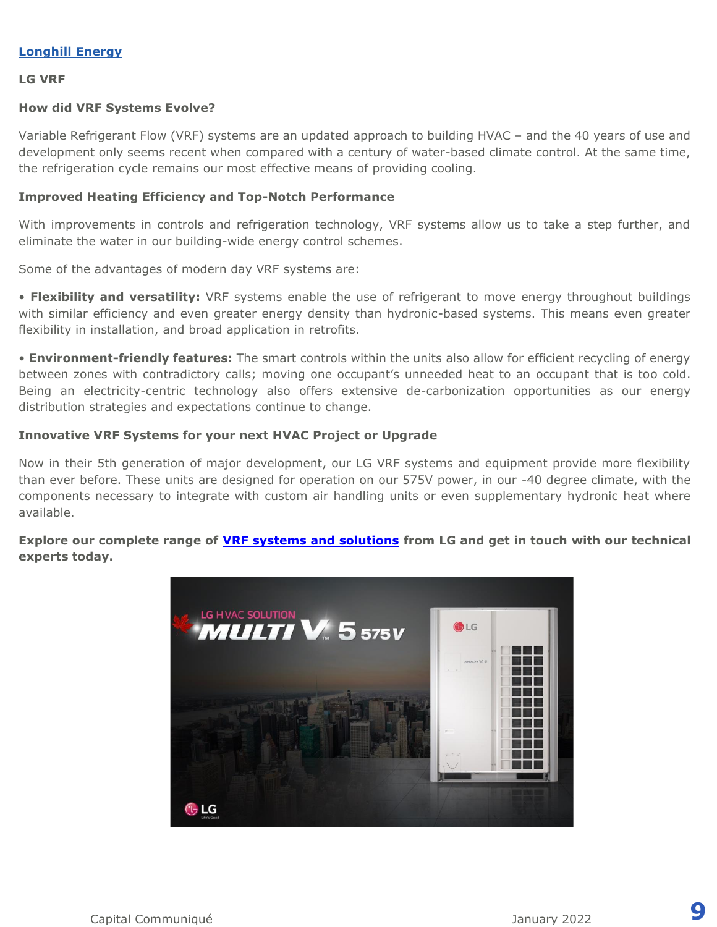#### **Longhill Energy**

#### **LG VRF**

#### **How did VRF Systems Evolve?**

Variable Refrigerant Flow (VRF) systems are an updated approach to building HVAC – and the 40 years of use and development only seems recent when compared with a century of water-based climate control. At the same time, the refrigeration cycle remains our most effective means of providing cooling.

#### **Improved Heating Efficiency and Top-Notch Performance**

With improvements in controls and refrigeration technology, VRF systems allow us to take a step further, and eliminate the water in our building-wide energy control schemes.

Some of the advantages of modern day VRF systems are:

• **Flexibility and versatility:** VRF systems enable the use of refrigerant to move energy throughout buildings with similar efficiency and even greater energy density than hydronic-based systems. This means even greater flexibility in installation, and broad application in retrofits.

• **Environment-friendly features:** The smart controls within the units also allow for efficient recycling of energy between zones with contradictory calls; moving one occupant's unneeded heat to an occupant that is too cold. Being an electricity-centric technology also offers extensive de-carbonization opportunities as our energy distribution strategies and expectations continue to change.

#### **Innovative VRF Systems for your next HVAC Project or Upgrade**

Now in their 5th generation of major development, our LG VRF systems and equipment provide more flexibility than ever before. These units are designed for operation on our 575V power, in our -40 degree climate, with the components necessary to integrate with custom air handling units or even supplementary hydronic heat where available.

**Explore our complete range of [VRF systems and solutions](https://can01.safelinks.protection.outlook.com/?url=https%3A%2F%2Fwww.lg.com%2Fca_en%2Fbusiness%2Fvrf&data=04%7C01%7CConnorP%40jp2g.com%7C9f3cb28b0666470054e808d9bc17850d%7Cb53ed715315d4006a339e064938ee463%7C0%7C0%7C637747631478057086%7CUnknown%7CTWFpbGZsb3d8eyJWIjoiMC4wLjAwMDAiLCJQIjoiV2luMzIiLCJBTiI6Ik1haWwiLCJXVCI6Mn0%3D%7C3000&sdata=iTLbiswNFdTp4b2nF8SwCZHOcLUJpLtAkWwGNV%2Bh3go%3D&reserved=0) from LG and get in touch with our technical experts today.**